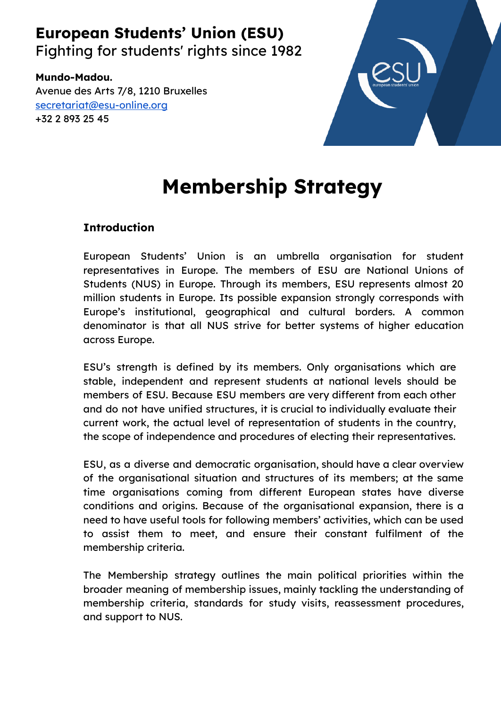# **European Students' Union (ESU)**

Fighting for students' rights since 1982

**Mundo-Madou.** Avenue des Arts 7/8, 1210 Bruxelles [secretariat@esu-online.org](mailto:secretariat@esu-online.org) +32 2 893 25 45



# **Membership Strategy**

## **Introduction**

European Students' Union is an umbrella organisation for student representatives in Europe. The members of ESU are National Unions of Students (NUS) in Europe. Through its members, ESU represents almost 20 million students in Europe. Its possible expansion strongly corresponds with Europe's institutional, geographical and cultural borders. A common denominator is that all NUS strive for better systems of higher education across Europe.

ESU's strength is defined by its members. Only organisations which are stable, independent and represent students at national levels should be members of ESU. Because ESU members are very different from each other and do not have unified structures, it is crucial to individually evaluate their current work, the actual level of representation of students in the country, the scope of independence and procedures of electing their representatives.

ESU, as a diverse and democratic organisation, should have a clear overview of the organisational situation and structures of its members; at the same time organisations coming from different European states have diverse conditions and origins. Because of the organisational expansion, there is a need to have useful tools for following members' activities, which can be used to assist them to meet, and ensure their constant fulfilment of the membership criteria.

The Membership strategy outlines the main political priorities within the broader meaning of membership issues, mainly tackling the understanding of membership criteria, standards for study visits, reassessment procedures, and support to NUS.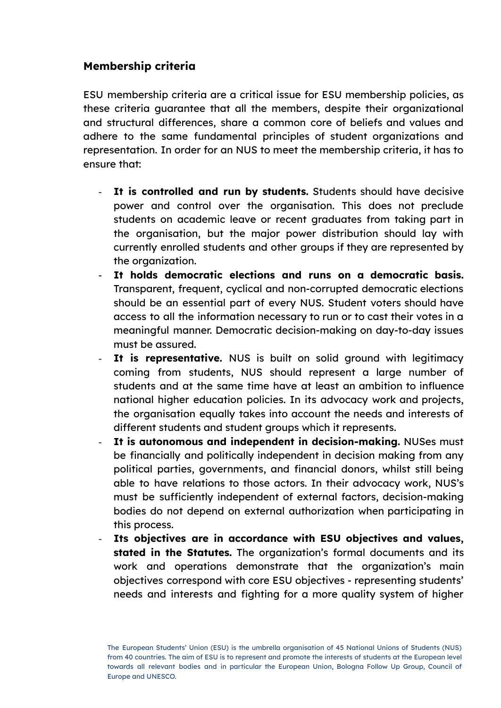### **Membership criteria**

ESU membership criteria are a critical issue for ESU membership policies, as these criteria guarantee that all the members, despite their organizational and structural differences, share a common core of beliefs and values and adhere to the same fundamental principles of student organizations and representation. In order for an NUS to meet the membership criteria, it has to ensure that:

- **It is controlled and run by students.** Students should have decisive power and control over the organisation. This does not preclude students on academic leave or recent graduates from taking part in the organisation, but the major power distribution should lay with currently enrolled students and other groups if they are represented by the organization.
- **It holds democratic elections and runs on a democratic basis.** Transparent, frequent, cyclical and non-corrupted democratic elections should be an essential part of every NUS. Student voters should have access to all the information necessary to run or to cast their votes in a meaningful manner. Democratic decision-making on day-to-day issues must be assured.
- **It is representative.** NUS is built on solid ground with legitimacy coming from students, NUS should represent a large number of students and at the same time have at least an ambition to influence national higher education policies. In its advocacy work and projects, the organisation equally takes into account the needs and interests of different students and student groups which it represents.
- **It is autonomous and independent in decision-making.** NUSes must be financially and politically independent in decision making from any political parties, governments, and financial donors, whilst still being able to have relations to those actors. In their advocacy work, NUS's must be sufficiently independent of external factors, decision-making bodies do not depend on external authorization when participating in this process.
- **Its objectives are in accordance with ESU objectives and values, stated in the Statutes.** The organization's formal documents and its work and operations demonstrate that the organization's main objectives correspond with core ESU objectives - representing students' needs and interests and fighting for a more quality system of higher

The European Students' Union (ESU) is the umbrella organisation of 45 National Unions of Students (NUS) from 40 countries. The aim of ESU is to represent and promote the interests of students at the European level towards all relevant bodies and in particular the European Union, Bologna Follow Up Group, Council of Europe and UNESCO.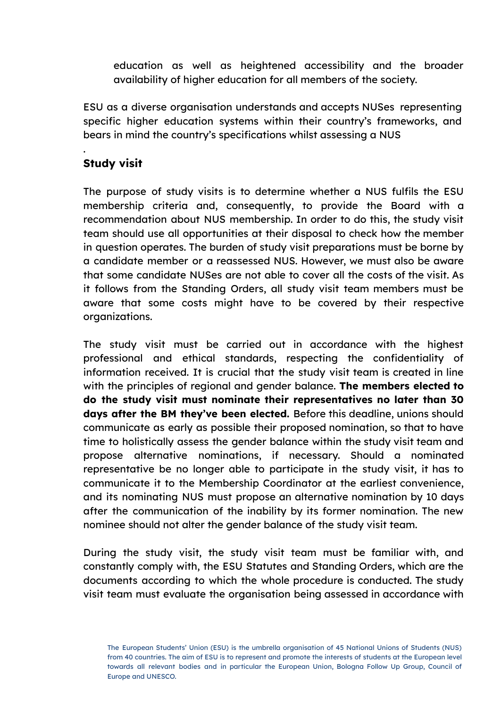education as well as heightened accessibility and the broader availability of higher education for all members of the society.

ESU as a diverse organisation understands and accepts NUSes representing specific higher education systems within their country's frameworks, and bears in mind the country's specifications whilst assessing a NUS

### **Study visit**

.

The purpose of study visits is to determine whether a NUS fulfils the ESU membership criteria and, consequently, to provide the Board with a recommendation about NUS membership. In order to do this, the study visit team should use all opportunities at their disposal to check how the member in question operates. The burden of study visit preparations must be borne by a candidate member or a reassessed NUS. However, we must also be aware that some candidate NUSes are not able to cover all the costs of the visit. As it follows from the Standing Orders, all study visit team members must be aware that some costs might have to be covered by their respective organizations.

The study visit must be carried out in accordance with the highest professional and ethical standards, respecting the confidentiality of information received. It is crucial that the study visit team is created in line with the principles of regional and gender balance. **The members elected to do the study visit must nominate their representatives no later than 30 days after the BM they've been elected.** Before this deadline, unions should communicate as early as possible their proposed nomination, so that to have time to holistically assess the gender balance within the study visit team and propose alternative nominations, if necessary. Should a nominated representative be no longer able to participate in the study visit, it has to communicate it to the Membership Coordinator at the earliest convenience, and its nominating NUS must propose an alternative nomination by 10 days after the communication of the inability by its former nomination. The new nominee should not alter the gender balance of the study visit team.

During the study visit, the study visit team must be familiar with, and constantly comply with, the ESU Statutes and Standing Orders, which are the documents according to which the whole procedure is conducted. The study visit team must evaluate the organisation being assessed in accordance with

The European Students' Union (ESU) is the umbrella organisation of 45 National Unions of Students (NUS) from 40 countries. The aim of ESU is to represent and promote the interests of students at the European level towards all relevant bodies and in particular the European Union, Bologna Follow Up Group, Council of Europe and UNESCO.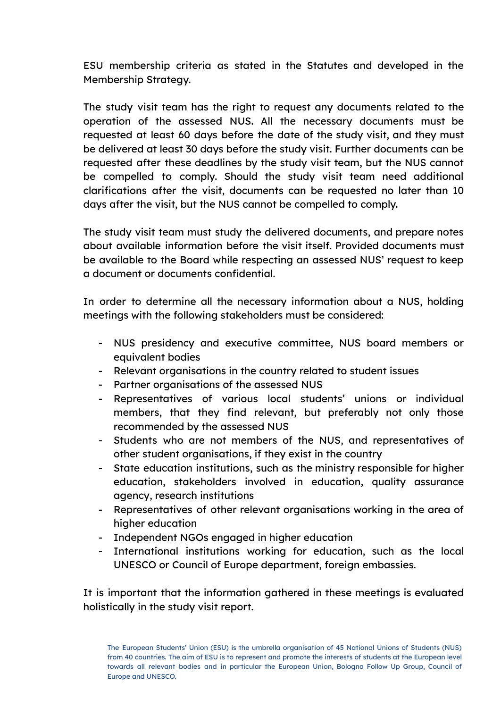ESU membership criteria as stated in the Statutes and developed in the Membership Strategy.

The study visit team has the right to request any documents related to the operation of the assessed NUS. All the necessary documents must be requested at least 60 days before the date of the study visit, and they must be delivered at least 30 days before the study visit. Further documents can be requested after these deadlines by the study visit team, but the NUS cannot be compelled to comply. Should the study visit team need additional clarifications after the visit, documents can be requested no later than 10 days after the visit, but the NUS cannot be compelled to comply.

The study visit team must study the delivered documents, and prepare notes about available information before the visit itself. Provided documents must be available to the Board while respecting an assessed NUS' request to keep a document or documents confidential.

In order to determine all the necessary information about a NUS, holding meetings with the following stakeholders must be considered:

- NUS presidency and executive committee, NUS board members or equivalent bodies
- Relevant organisations in the country related to student issues
- Partner organisations of the assessed NUS
- Representatives of various local students' unions or individual members, that they find relevant, but preferably not only those recommended by the assessed NUS
- Students who are not members of the NUS, and representatives of other student organisations, if they exist in the country
- State education institutions, such as the ministry responsible for higher education, stakeholders involved in education, quality assurance agency, research institutions
- Representatives of other relevant organisations working in the area of higher education
- Independent NGOs engaged in higher education
- International institutions working for education, such as the local UNESCO or Council of Europe department, foreign embassies.

It is important that the information gathered in these meetings is evaluated holistically in the study visit report.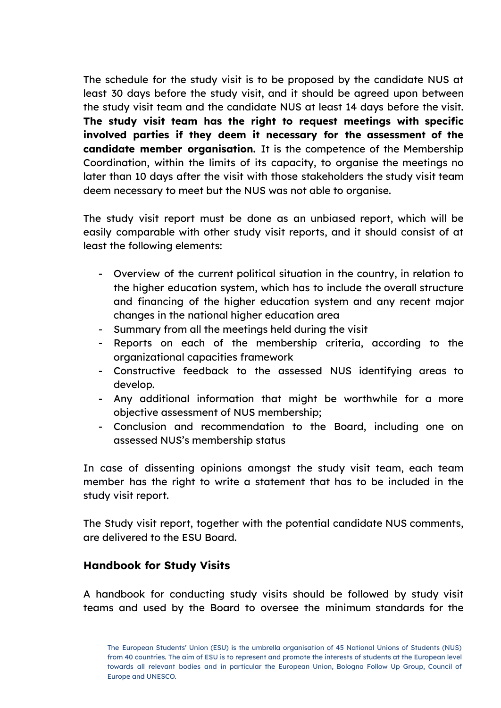The schedule for the study visit is to be proposed by the candidate NUS at least 30 days before the study visit, and it should be agreed upon between the study visit team and the candidate NUS at least 14 days before the visit. **The study visit team has the right to request meetings with specific involved parties if they deem it necessary for the assessment of the candidate member organisation.** It is the competence of the Membership Coordination, within the limits of its capacity, to organise the meetings no later than 10 days after the visit with those stakeholders the study visit team deem necessary to meet but the NUS was not able to organise.

The study visit report must be done as an unbiased report, which will be easily comparable with other study visit reports, and it should consist of at least the following elements:

- Overview of the current political situation in the country, in relation to the higher education system, which has to include the overall structure and financing of the higher education system and any recent major changes in the national higher education area
- Summary from all the meetings held during the visit
- Reports on each of the membership criteria, according to the organizational capacities framework
- Constructive feedback to the assessed NUS identifying areas to develop.
- Any additional information that might be worthwhile for a more objective assessment of NUS membership;
- Conclusion and recommendation to the Board, including one on assessed NUS's membership status

In case of dissenting opinions amongst the study visit team, each team member has the right to write a statement that has to be included in the study visit report.

The Study visit report, together with the potential candidate NUS comments, are delivered to the ESU Board.

#### **Handbook for Study Visits**

A handbook for conducting study visits should be followed by study visit teams and used by the Board to oversee the minimum standards for the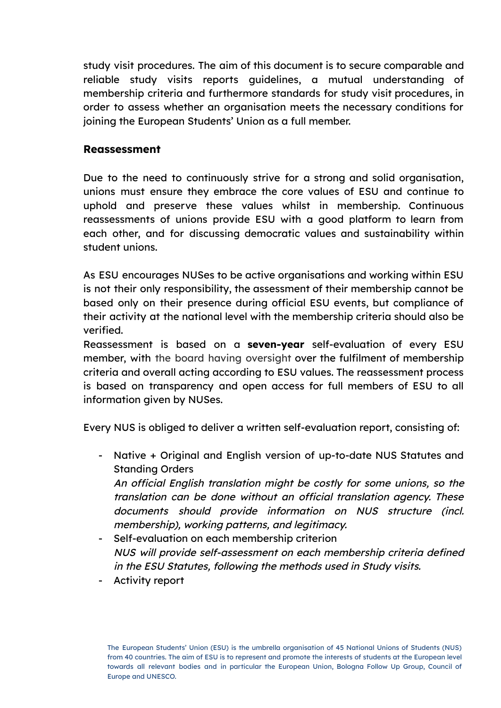study visit procedures. The aim of this document is to secure comparable and reliable study visits reports guidelines, a mutual understanding of membership criteria and furthermore standards for study visit procedures, in order to assess whether an organisation meets the necessary conditions for joining the European Students' Union as a full member.

#### **Reassessment**

Due to the need to continuously strive for a strong and solid organisation, unions must ensure they embrace the core values of ESU and continue to uphold and preserve these values whilst in membership. Continuous reassessments of unions provide ESU with a good platform to learn from each other, and for discussing democratic values and sustainability within student unions.

As ESU encourages NUSes to be active organisations and working within ESU is not their only responsibility, the assessment of their membership cannot be based only on their presence during official ESU events, but compliance of their activity at the national level with the membership criteria should also be verified.

Reassessment is based on a **seven-year** self-evaluation of every ESU member, with the board having oversight over the fulfilment of membership criteria and overall acting according to ESU values. The reassessment process is based on transparency and open access for full members of ESU to all information given by NUSes.

Every NUS is obliged to deliver a written self-evaluation report, consisting of:

- Native + Original and English version of up-to-date NUS Statutes and Standing Orders An official English translation might be costly for some unions, so the translation can be done without an official translation agency. These

documents should provide information on NUS structure (incl. membership), working patterns, and legitimacy.

- Self-evaluation on each membership criterion NUS will provide self-assessment on each membership criteria defined in the ESU Statutes, following the methods used in Study visits.
- Activity report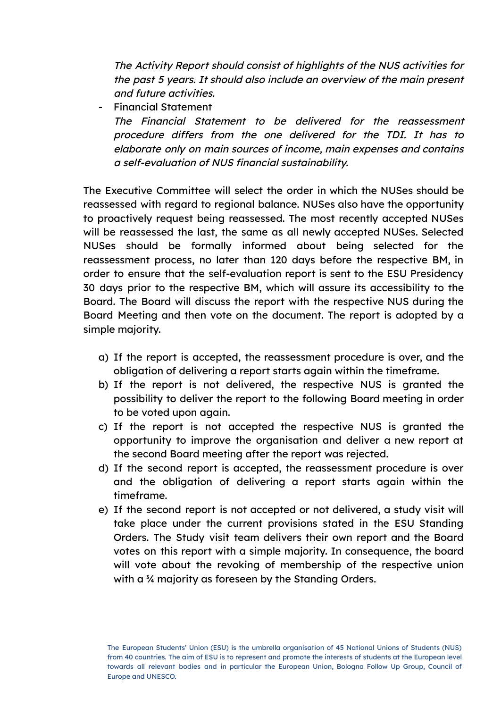The Activity Report should consist of highlights of the NUS activities for the past 5 years. It should also include an overview of the main present and future activities.

- Financial Statement The Financial Statement to be delivered for the reassessment procedure differs from the one delivered for the TDI. It has to elaborate only on main sources of income, main expenses and contains <sup>a</sup> self-evaluation of NUS financial sustainability.

The Executive Committee will select the order in which the NUSes should be reassessed with regard to regional balance. NUSes also have the opportunity to proactively request being reassessed. The most recently accepted NUSes will be reassessed the last, the same as all newly accepted NUSes. Selected NUSes should be formally informed about being selected for the reassessment process, no later than 120 days before the respective BM, in order to ensure that the self-evaluation report is sent to the ESU Presidency 30 days prior to the respective BM, which will assure its accessibility to the Board. The Board will discuss the report with the respective NUS during the Board Meeting and then vote on the document. The report is adopted by a simple majority.

- a) If the report is accepted, the reassessment procedure is over, and the obligation of delivering a report starts again within the timeframe.
- b) If the report is not delivered, the respective NUS is granted the possibility to deliver the report to the following Board meeting in order to be voted upon again.
- c) If the report is not accepted the respective NUS is granted the opportunity to improve the organisation and deliver a new report at the second Board meeting after the report was rejected.
- d) If the second report is accepted, the reassessment procedure is over and the obligation of delivering a report starts again within the timeframe.
- e) If the second report is not accepted or not delivered, a study visit will take place under the current provisions stated in the ESU Standing Orders. The Study visit team delivers their own report and the Board votes on this report with a simple majority. In consequence, the board will vote about the revoking of membership of the respective union with a ¾ majority as foreseen by the Standing Orders.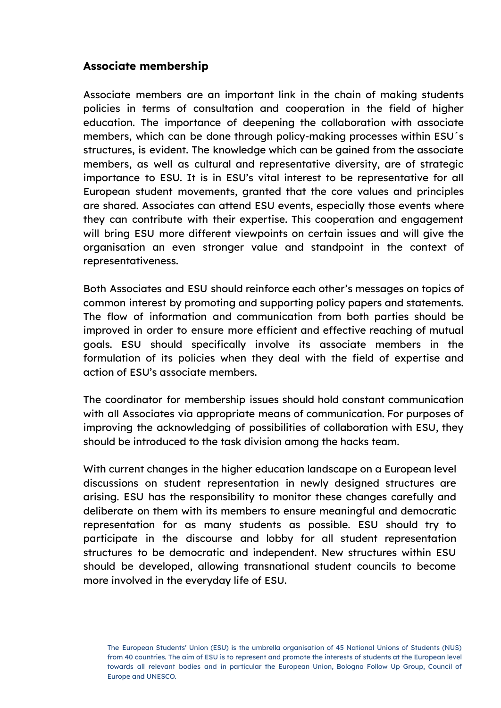#### **Associate membership**

Associate members are an important link in the chain of making students policies in terms of consultation and cooperation in the field of higher education. The importance of deepening the collaboration with associate members, which can be done through policy-making processes within ESU´s structures, is evident. The knowledge which can be gained from the associate members, as well as cultural and representative diversity, are of strategic importance to ESU. It is in ESU's vital interest to be representative for all European student movements, granted that the core values and principles are shared. Associates can attend ESU events, especially those events where they can contribute with their expertise. This cooperation and engagement will bring ESU more different viewpoints on certain issues and will give the organisation an even stronger value and standpoint in the context of representativeness.

Both Associates and ESU should reinforce each other's messages on topics of common interest by promoting and supporting policy papers and statements. The flow of information and communication from both parties should be improved in order to ensure more efficient and effective reaching of mutual goals. ESU should specifically involve its associate members in the formulation of its policies when they deal with the field of expertise and action of ESU's associate members.

The coordinator for membership issues should hold constant communication with all Associates via appropriate means of communication. For purposes of improving the acknowledging of possibilities of collaboration with ESU, they should be introduced to the task division among the hacks team.

With current changes in the higher education landscape on a European level discussions on student representation in newly designed structures are arising. ESU has the responsibility to monitor these changes carefully and deliberate on them with its members to ensure meaningful and democratic representation for as many students as possible. ESU should try to participate in the discourse and lobby for all student representation structures to be democratic and independent. New structures within ESU should be developed, allowing transnational student councils to become more involved in the everyday life of ESU.

The European Students' Union (ESU) is the umbrella organisation of 45 National Unions of Students (NUS) from 40 countries. The aim of ESU is to represent and promote the interests of students at the European level towards all relevant bodies and in particular the European Union, Bologna Follow Up Group, Council of Europe and UNESCO.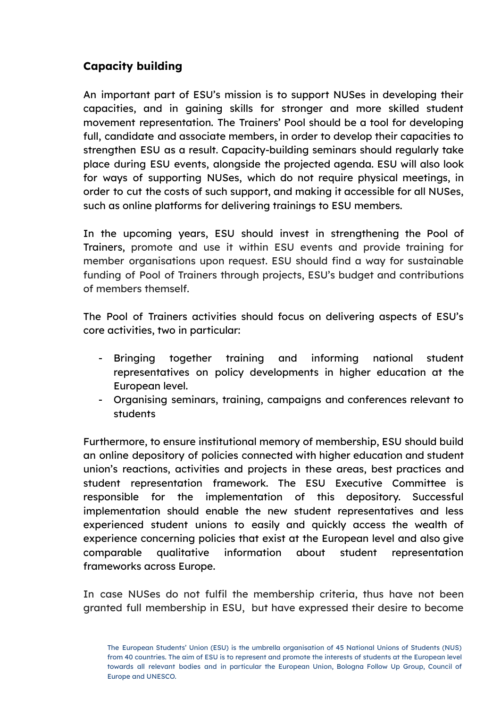# **Capacity building**

An important part of ESU's mission is to support NUSes in developing their capacities, and in gaining skills for stronger and more skilled student movement representation. The Trainers' Pool should be a tool for developing full, candidate and associate members, in order to develop their capacities to strengthen ESU as a result. Capacity-building seminars should regularly take place during ESU events, alongside the projected agenda. ESU will also look for ways of supporting NUSes, which do not require physical meetings, in order to cut the costs of such support, and making it accessible for all NUSes, such as online platforms for delivering trainings to ESU members.

In the upcoming years, ESU should invest in strengthening the Pool of Trainers, promote and use it within ESU events and provide training for member organisations upon request. ESU should find a way for sustainable funding of Pool of Trainers through projects, ESU's budget and contributions of members themself.

The Pool of Trainers activities should focus on delivering aspects of ESU's core activities, two in particular:

- Bringing together training and informing national student representatives on policy developments in higher education at the European level.
- Organising seminars, training, campaigns and conferences relevant to students

Furthermore, to ensure institutional memory of membership, ESU should build an online depository of policies connected with higher education and student union's reactions, activities and projects in these areas, best practices and student representation framework. The ESU Executive Committee is responsible for the implementation of this depository. Successful implementation should enable the new student representatives and less experienced student unions to easily and quickly access the wealth of experience concerning policies that exist at the European level and also give comparable qualitative information about student representation frameworks across Europe.

In case NUSes do not fulfil the membership criteria, thus have not been granted full membership in ESU, but have expressed their desire to become

The European Students' Union (ESU) is the umbrella organisation of 45 National Unions of Students (NUS) from 40 countries. The aim of ESU is to represent and promote the interests of students at the European level towards all relevant bodies and in particular the European Union, Bologna Follow Up Group, Council of Europe and UNESCO.